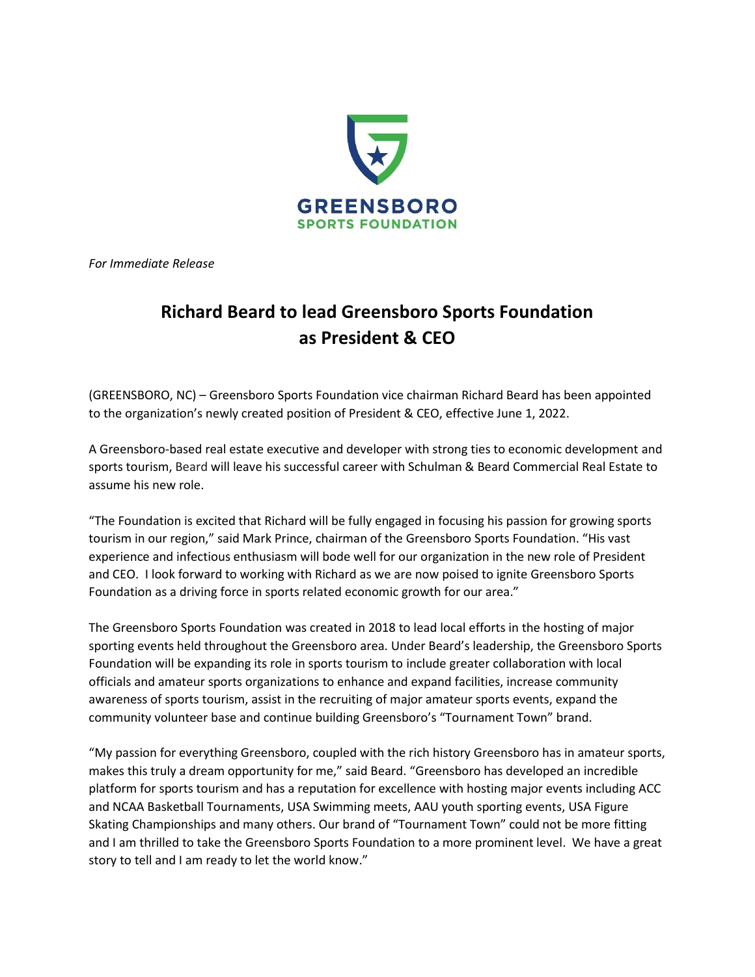

*For Immediate Release*

## **Richard Beard to lead Greensboro Sports Foundation as President & CEO**

(GREENSBORO, NC) – Greensboro Sports Foundation vice chairman Richard Beard has been appointed to the organization's newly created position of President & CEO, effective June 1, 2022.

A Greensboro-based real estate executive and developer with strong ties to economic development and sports tourism, Beard will leave his successful career with Schulman & Beard Commercial Real Estate to assume his new role.

"The Foundation is excited that Richard will be fully engaged in focusing his passion for growing sports tourism in our region," said Mark Prince, chairman of the Greensboro Sports Foundation. "His vast experience and infectious enthusiasm will bode well for our organization in the new role of President and CEO. I look forward to working with Richard as we are now poised to ignite Greensboro Sports Foundation as a driving force in sports related economic growth for our area."

The Greensboro Sports Foundation was created in 2018 to lead local efforts in the hosting of major sporting events held throughout the Greensboro area. Under Beard's leadership, the Greensboro Sports Foundation will be expanding its role in sports tourism to include greater collaboration with local officials and amateur sports organizations to enhance and expand facilities, increase community awareness of sports tourism, assist in the recruiting of major amateur sports events, expand the community volunteer base and continue building Greensboro's "Tournament Town" brand.

"My passion for everything Greensboro, coupled with the rich history Greensboro has in amateur sports, makes this truly a dream opportunity for me," said Beard. "Greensboro has developed an incredible platform for sports tourism and has a reputation for excellence with hosting major events including ACC and NCAA Basketball Tournaments, USA Swimming meets, AAU youth sporting events, USA Figure Skating Championships and many others. Our brand of "Tournament Town" could not be more fitting and I am thrilled to take the Greensboro Sports Foundation to a more prominent level. We have a great story to tell and I am ready to let the world know."